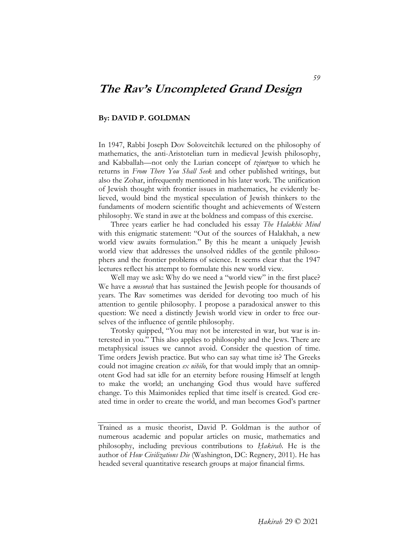## **The Rav's Uncompleted Grand Design**

## **By: DAVID P. GOLDMAN**

In 1947, Rabbi Joseph Dov Soloveitchik lectured on the philosophy of mathematics, the anti-Aristotelian turn in medieval Jewish philosophy, and Kabballah—not only the Lurian concept of *tzimtzum* to which he returns in *From There You Shall Seek* and other published writings, but also the Zohar, infrequently mentioned in his later work. The unification of Jewish thought with frontier issues in mathematics, he evidently believed, would bind the mystical speculation of Jewish thinkers to the fundaments of modern scientific thought and achievements of Western philosophy. We stand in awe at the boldness and compass of this exercise.

Three years earlier he had concluded his essay *The Halakhic Mind*  with this enigmatic statement: "Out of the sources of Halakhah, a new world view awaits formulation." By this he meant a uniquely Jewish world view that addresses the unsolved riddles of the gentile philosophers and the frontier problems of science. It seems clear that the 1947 lectures reflect his attempt to formulate this new world view.

Well may we ask: Why do we need a "world view" in the first place? We have a *mesorah* that has sustained the Jewish people for thousands of years. The Rav sometimes was derided for devoting too much of his attention to gentile philosophy. I propose a paradoxical answer to this question: We need a distinctly Jewish world view in order to free ourselves of the influence of gentile philosophy.

Trotsky quipped, "You may not be interested in war, but war is interested in you." This also applies to philosophy and the Jews. There are metaphysical issues we cannot avoid. Consider the question of time. Time orders Jewish practice. But who can say what time is? The Greeks could not imagine creation *ex nihilo*, for that would imply that an omnipotent God had sat idle for an eternity before rousing Himself at length to make the world; an unchanging God thus would have suffered change. To this Maimonides replied that time itself is created. God created time in order to create the world, and man becomes God's partner

Trained as a music theorist, David P. Goldman is the author of numerous academic and popular articles on music, mathematics and philosophy, including previous contributions to *Ḥakirah*. He is the author of *How Civilizations Die* (Washington, DC: Regnery, 2011). He has headed several quantitative research groups at major financial firms.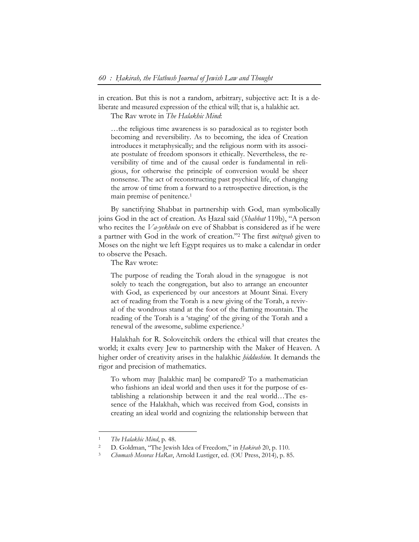in creation. But this is not a random, arbitrary, subjective act: It is a deliberate and measured expression of the ethical will; that is, a halakhic act.

The Rav wrote in *The Halakhic Mind*:

…the religious time awareness is so paradoxical as to register both becoming and reversibility. As to becoming, the idea of Creation introduces it metaphysically; and the religious norm with its associate postulate of freedom sponsors it ethically. Nevertheless, the reversibility of time and of the causal order is fundamental in religious, for otherwise the principle of conversion would be sheer nonsense. The act of reconstructing past psychical life, of changing the arrow of time from a forward to a retrospective direction, is the main premise of penitence.<sup>1</sup>

By sanctifying Shabbat in partnership with God, man symbolically joins God in the act of creation. As Hazal said (*Shabbat* 119b), "A person who recites the *Va-yekhulu* on eve of Shabbat is considered as if he were a partner with God in the work of creation."2 The first *mitzvah* given to Moses on the night we left Egypt requires us to make a calendar in order to observe the Pesach.

The Rav wrote:

The purpose of reading the Torah aloud in the synagogue is not solely to teach the congregation, but also to arrange an encounter with God, as experienced by our ancestors at Mount Sinai. Every act of reading from the Torah is a new giving of the Torah, a revival of the wondrous stand at the foot of the flaming mountain. The reading of the Torah is a 'staging' of the giving of the Torah and a renewal of the awesome, sublime experience.3

Halakhah for R. Soloveitchik orders the ethical will that creates the world; it exalts every Jew to partnership with the Maker of Heaven. A higher order of creativity arises in the halakhic *ḥiddushim.* It demands the rigor and precision of mathematics.

To whom may [halakhic man] be compared? To a mathematician who fashions an ideal world and then uses it for the purpose of establishing a relationship between it and the real world…The essence of the Halakhah, which was received from God, consists in creating an ideal world and cognizing the relationship between that

<sup>1</sup>*The Halakhic Mind*, p. 48. 2 D. Goldman, "The Jewish Idea of Freedom," in *Ḥakirah* 20, p. 110. 3 *Chumash Mesoras HaRav*, Arnold Lustiger, ed. (OU Press, 2014), p. 85.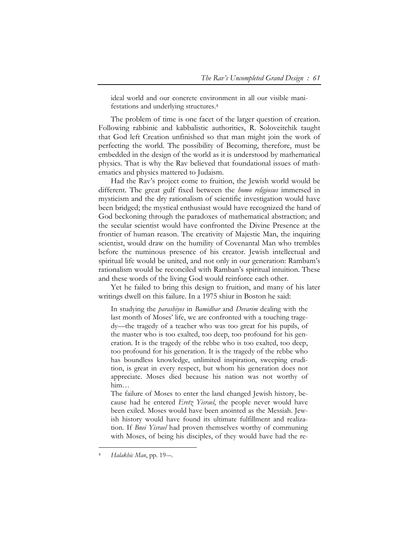ideal world and our concrete environment in all our visible manifestations and underlying structures.4

The problem of time is one facet of the larger question of creation. Following rabbinic and kabbalistic authorities, R. Soloveitchik taught that God left Creation unfinished so that man might join the work of perfecting the world. The possibility of Becoming, therefore, must be embedded in the design of the world as it is understood by mathematical physics. That is why the Rav believed that foundational issues of mathematics and physics mattered to Judaism.

Had the Rav's project come to fruition, the Jewish world would be different. The great gulf fixed between the *homo religiosus* immersed in mysticism and the dry rationalism of scientific investigation would have been bridged; the mystical enthusiast would have recognized the hand of God beckoning through the paradoxes of mathematical abstraction; and the secular scientist would have confronted the Divine Presence at the frontier of human reason. The creativity of Majestic Man, the inquiring scientist, would draw on the humility of Covenantal Man who trembles before the numinous presence of his creator. Jewish intellectual and spiritual life would be united, and not only in our generation: Rambam's rationalism would be reconciled with Ramban's spiritual intuition. These and these words of the living God would reinforce each other.

Yet he failed to bring this design to fruition, and many of his later writings dwell on this failure. In a 1975 shiur in Boston he said:

In studying the *parashiyos* in *Bamidbar* and *Devarim* dealing with the last month of Moses' life, we are confronted with a touching tragedy—the tragedy of a teacher who was too great for his pupils, of the master who is too exalted, too deep, too profound for his generation. It is the tragedy of the rebbe who is too exalted, too deep, too profound for his generation. It is the tragedy of the rebbe who has boundless knowledge, unlimited inspiration, sweeping erudition, is great in every respect, but whom his generation does not appreciate. Moses died because his nation was not worthy of him…

The failure of Moses to enter the land changed Jewish history, because had he entered *Eretz Yisrael*, the people never would have been exiled. Moses would have been anointed as the Messiah. Jewish history would have found its ultimate fulfillment and realization. If *Bnei Yisrael* had proven themselves worthy of communing with Moses, of being his disciples, of they would have had the re-

<sup>4</sup> *Halakhic Man*, pp. 19-–.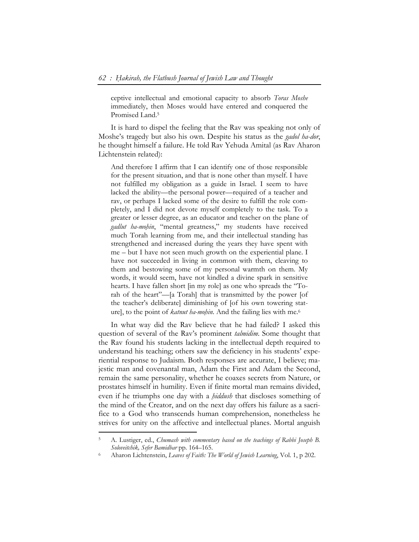ceptive intellectual and emotional capacity to absorb *Toras Moshe* immediately, then Moses would have entered and conquered the Promised Land.5

It is hard to dispel the feeling that the Rav was speaking not only of Moshe's tragedy but also his own. Despite his status as the *gadol ha-dor*, he thought himself a failure. He told Rav Yehuda Amital (as Rav Aharon Lichtenstein related):

And therefore I affirm that I can identify one of those responsible for the present situation, and that is none other than myself. I have not fulfilled my obligation as a guide in Israel. I seem to have lacked the ability—the personal power—required of a teacher and rav, or perhaps I lacked some of the desire to fulfill the role completely, and I did not devote myself completely to the task. To a greater or lesser degree, as an educator and teacher on the plane of *gadlut ha-moḥin*, "mental greatness," my students have received much Torah learning from me, and their intellectual standing has strengthened and increased during the years they have spent with me – but I have not seen much growth on the experiential plane. I have not succeeded in living in common with them, cleaving to them and bestowing some of my personal warmth on them. My words, it would seem, have not kindled a divine spark in sensitive hearts. I have fallen short [in my role] as one who spreads the "Torah of the heart"—[a Torah] that is transmitted by the power [of the teacher's deliberate] diminishing of [of his own towering stature], to the point of *katnut ha-mohin*. And the failing lies with me.<sup>6</sup>

In what way did the Rav believe that he had failed? I asked this question of several of the Rav's prominent *talmidim*. Some thought that the Rav found his students lacking in the intellectual depth required to understand his teaching; others saw the deficiency in his students' experiential response to Judaism. Both responses are accurate, I believe; majestic man and covenantal man, Adam the First and Adam the Second, remain the same personality, whether he coaxes secrets from Nature, or prostates himself in humility. Even if finite mortal man remains divided, even if he triumphs one day with a *ḥiddush* that discloses something of the mind of the Creator, and on the next day offers his failure as a sacrifice to a God who transcends human comprehension, nonetheless he strives for unity on the affective and intellectual planes. Mortal anguish

<sup>5</sup> A. Lustiger, ed., *Chumash with commentary based on the teachings of Rabbi Joseph B. Soloveitchik, Sefer Bamidbar* pp. 164–165. 6 Aharon Lichtenstein, *Leaves of Faith: The World of Jewish Learning*, Vol. 1, p 202.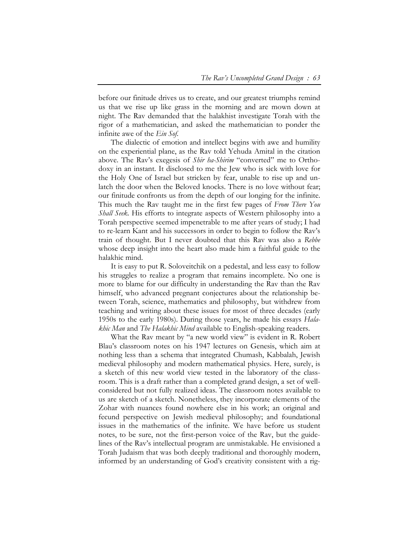before our finitude drives us to create, and our greatest triumphs remind us that we rise up like grass in the morning and are mown down at night. The Rav demanded that the halakhist investigate Torah with the rigor of a mathematician, and asked the mathematician to ponder the infinite awe of the *Ein Sof*.

The dialectic of emotion and intellect begins with awe and humility on the experiential plane, as the Rav told Yehuda Amital in the citation above. The Rav's exegesis of *Shir ha-Shirim* "converted" me to Orthodoxy in an instant. It disclosed to me the Jew who is sick with love for the Holy One of Israel but stricken by fear, unable to rise up and unlatch the door when the Beloved knocks. There is no love without fear; our finitude confronts us from the depth of our longing for the infinite. This much the Rav taught me in the first few pages of *From There You Shall Seek*. His efforts to integrate aspects of Western philosophy into a Torah perspective seemed impenetrable to me after years of study; I had to re-learn Kant and his successors in order to begin to follow the Rav's train of thought. But I never doubted that this Rav was also a *Rebbe* whose deep insight into the heart also made him a faithful guide to the halakhic mind.

It is easy to put R. Soloveitchik on a pedestal, and less easy to follow his struggles to realize a program that remains incomplete. No one is more to blame for our difficulty in understanding the Rav than the Rav himself, who advanced pregnant conjectures about the relationship between Torah, science, mathematics and philosophy, but withdrew from teaching and writing about these issues for most of three decades (early 1950s to the early 1980s). During those years, he made his essays *Halakhic Man* and *The Halakhic Mind* available to English-speaking readers.

What the Rav meant by "a new world view" is evident in R. Robert Blau's classroom notes on his 1947 lectures on Genesis, which aim at nothing less than a schema that integrated Chumash, Kabbalah, Jewish medieval philosophy and modern mathematical physics. Here, surely, is a sketch of this new world view tested in the laboratory of the classroom. This is a draft rather than a completed grand design, a set of wellconsidered but not fully realized ideas. The classroom notes available to us are sketch of a sketch. Nonetheless, they incorporate elements of the Zohar with nuances found nowhere else in his work; an original and fecund perspective on Jewish medieval philosophy; and foundational issues in the mathematics of the infinite. We have before us student notes, to be sure, not the first-person voice of the Rav, but the guidelines of the Rav's intellectual program are unmistakable. He envisioned a Torah Judaism that was both deeply traditional and thoroughly modern, informed by an understanding of God's creativity consistent with a rig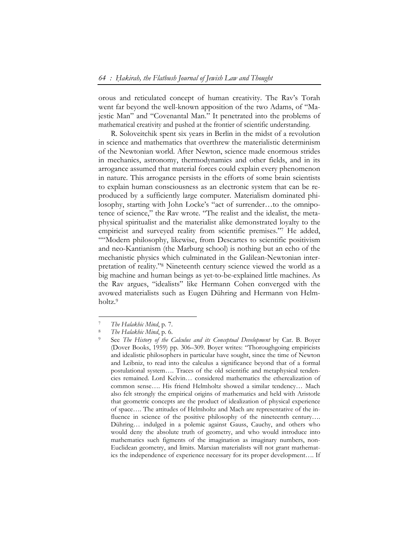orous and reticulated concept of human creativity. The Rav's Torah went far beyond the well-known apposition of the two Adams, of "Majestic Man" and "Covenantal Man." It penetrated into the problems of mathematical creativity and pushed at the frontier of scientific understanding.

R. Soloveitchik spent six years in Berlin in the midst of a revolution in science and mathematics that overthrew the materialistic determinism of the Newtonian world. After Newton, science made enormous strides in mechanics, astronomy, thermodynamics and other fields, and in its arrogance assumed that material forces could explain every phenomenon in nature. This arrogance persists in the efforts of some brain scientists to explain human consciousness as an electronic system that can be reproduced by a sufficiently large computer. Materialism dominated philosophy, starting with John Locke's "act of surrender…to the omnipotence of science," the Rav wrote. "The realist and the idealist, the metaphysical spiritualist and the materialist alike demonstrated loyalty to the empiricist and surveyed reality from scientific premises."7 He added, ""Modern philosophy, likewise, from Descartes to scientific positivism and neo-Kantianism (the Marburg school) is nothing but an echo of the mechanistic physics which culminated in the Galilean-Newtonian interpretation of reality."8 Nineteenth century science viewed the world as a big machine and human beings as yet-to-be-explained little machines. As the Rav argues, "idealists" like Hermann Cohen converged with the avowed materialists such as Eugen Dühring and Hermann von Helmholtz.<sup>9</sup>

*The Halakhic Mind*, p. 7.<br>*The Halakhic Mind*, p. 6.<br>See *The History of the Calculus and its Conceptual Development* by Car. B. Boyer (Dover Books, 1959) pp. 306–309. Boyer writes: "Thoroughgoing empiricists and idealistic philosophers in particular have sought, since the time of Newton and Leibniz, to read into the calculus a significance beyond that of a formal postulational system…. Traces of the old scientific and metaphysical tendencies remained. Lord Kelvin… considered mathematics the etherealization of common sense…. His friend Helmholtz showed a similar tendency… Mach also felt strongly the empirical origins of mathematics and held with Aristotle that geometric concepts are the product of idealization of physical experience of space…. The attitudes of Helmholtz and Mach are representative of the influence in science of the positive philosophy of the nineteenth century.... Dühring… indulged in a polemic against Gauss, Cauchy, and others who would deny the absolute truth of geometry, and who would introduce into mathematics such figments of the imagination as imaginary numbers, non-Euclidean geometry, and limits. Marxian materialists will not grant mathematics the independence of experience necessary for its proper development…. If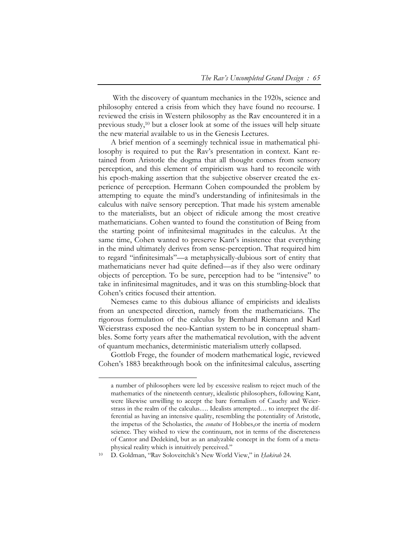With the discovery of quantum mechanics in the 1920s, science and philosophy entered a crisis from which they have found no recourse. I reviewed the crisis in Western philosophy as the Rav encountered it in a previous study,10 but a closer look at some of the issues will help situate the new material available to us in the Genesis Lectures.

A brief mention of a seemingly technical issue in mathematical philosophy is required to put the Rav's presentation in context. Kant retained from Aristotle the dogma that all thought comes from sensory perception, and this element of empiricism was hard to reconcile with his epoch-making assertion that the subjective observer created the experience of perception. Hermann Cohen compounded the problem by attempting to equate the mind's understanding of infinitesimals in the calculus with naïve sensory perception. That made his system amenable to the materialists, but an object of ridicule among the most creative mathematicians. Cohen wanted to found the constitution of Being from the starting point of infinitesimal magnitudes in the calculus. At the same time, Cohen wanted to preserve Kant's insistence that everything in the mind ultimately derives from sense-perception. That required him to regard "infinitesimals"—a metaphysically-dubious sort of entity that mathematicians never had quite defined—as if they also were ordinary objects of perception. To be sure, perception had to be "intensive" to take in infinitesimal magnitudes, and it was on this stumbling-block that Cohen's critics focused their attention.

Nemeses came to this dubious alliance of empiricists and idealists from an unexpected direction, namely from the mathematicians. The rigorous formulation of the calculus by Bernhard Riemann and Karl Weierstrass exposed the neo-Kantian system to be in conceptual shambles. Some forty years after the mathematical revolution, with the advent of quantum mechanics, deterministic materialism utterly collapsed.

Gottlob Frege, the founder of modern mathematical logic, reviewed Cohen's 1883 breakthrough book on the infinitesimal calculus, asserting

a number of philosophers were led by excessive realism to reject much of the mathematics of the nineteenth century, idealistic philosophers, following Kant, were likewise unwilling to accept the bare formalism of Cauchy and Weierstrass in the realm of the calculus…. Idealists attempted… to interpret the differential as having an intensive quality, resembling the potentiality of Aristotle, the impetus of the Scholastics, the *conatus* of Hobbes,or the inertia of modern science. They wished to view the continuum, not in terms of the discreteness of Cantor and Dedekind, but as an analyzable concept in the form of a metaphysical reality which is intuitively perceived." 10 D. Goldman, "Rav Soloveitchik's New World View," in *Ḥakirah* 24.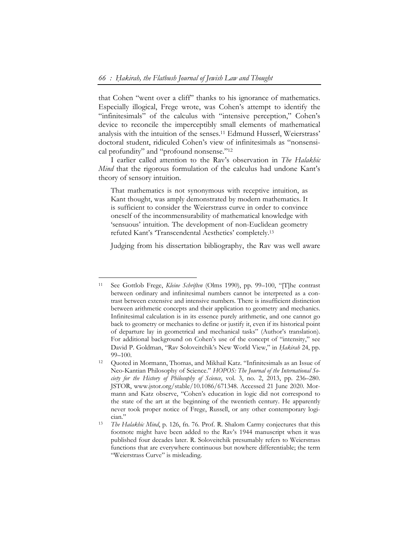that Cohen "went over a cliff" thanks to his ignorance of mathematics. Especially illogical, Frege wrote, was Cohen's attempt to identify the "infinitesimals" of the calculus with "intensive perception," Cohen's device to reconcile the imperceptibly small elements of mathematical analysis with the intuition of the senses.11 Edmund Husserl, Weierstrass' doctoral student, ridiculed Cohen's view of infinitesimals as "nonsensical profundity" and "profound nonsense."12

I earlier called attention to the Rav's observation in *The Halakhic Mind* that the rigorous formulation of the calculus had undone Kant's theory of sensory intuition.

That mathematics is not synonymous with receptive intuition, as Kant thought, was amply demonstrated by modern mathematics. It is sufficient to consider the Weierstrass curve in order to convince oneself of the incommensurability of mathematical knowledge with 'sensuous' intuition. The development of non-Euclidean geometry refuted Kant's 'Transcendental Aesthetics' completely.13

Judging from his dissertation bibliography, the Rav was well aware

<sup>11</sup> See Gottlob Frege, *Kleine Schriften* (Olms 1990), pp. 99–100, "[T]he contrast between ordinary and infinitesimal numbers cannot be interpreted as a contrast between extensive and intensive numbers. There is insufficient distinction between arithmetic concepts and their application to geometry and mechanics. Infinitesimal calculation is in its essence purely arithmetic, and one cannot go back to geometry or mechanics to define or justify it, even if its historical point of departure lay in geometrical and mechanical tasks" (Author's translation). For additional background on Cohen's use of the concept of "intensity," see David P. Goldman, "Rav Soloveitchik's New World View," in *Hakirah* 24, pp. 99–100. 12 Quoted in Mormann, Thomas, and Mikhail Katz. "Infinitesimals as an Issue of

Neo-Kantian Philosophy of Science." *HOPOS: The Journal of the International Society for the History of Philosophy of Science*, vol. 3, no. 2, 2013, pp. 236–280. JSTOR, www.jstor.org/stable/10.1086/671348. Accessed 21 June 2020. Mormann and Katz observe, "Cohen's education in logic did not correspond to the state of the art at the beginning of the twentieth century. He apparently never took proper notice of Frege, Russell, or any other contemporary logician." 13 *The Halakhic Mind*, p. 126, fn. 76. Prof. R. Shalom Carmy conjectures that this

footnote might have been added to the Rav's 1944 manuscript when it was published four decades later. R. Soloveitchik presumably refers to Weierstrass functions that are everywhere continuous but nowhere differentiable; the term "Weierstrass Curve" is misleading.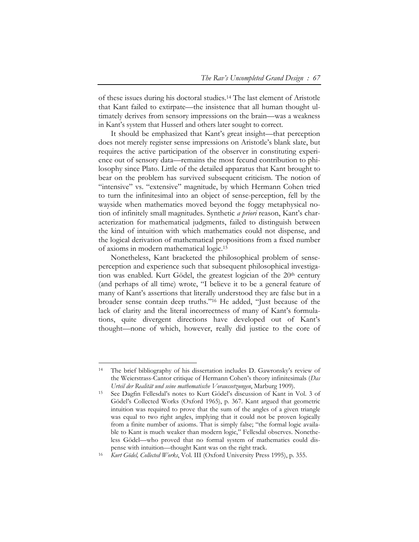of these issues during his doctoral studies.14 The last element of Aristotle that Kant failed to extirpate—the insistence that all human thought ultimately derives from sensory impressions on the brain—was a weakness in Kant's system that Husserl and others later sought to correct.

It should be emphasized that Kant's great insight—that perception does not merely register sense impressions on Aristotle's blank slate, but requires the active participation of the observer in constituting experience out of sensory data—remains the most fecund contribution to philosophy since Plato. Little of the detailed apparatus that Kant brought to bear on the problem has survived subsequent criticism. The notion of "intensive" vs. "extensive" magnitude, by which Hermann Cohen tried to turn the infinitesimal into an object of sense-perception, fell by the wayside when mathematics moved beyond the foggy metaphysical notion of infinitely small magnitudes. Synthetic *a priori* reason, Kant's characterization for mathematical judgments, failed to distinguish between the kind of intuition with which mathematics could not dispense, and the logical derivation of mathematical propositions from a fixed number of axioms in modern mathematical logic.15

Nonetheless, Kant bracketed the philosophical problem of senseperception and experience such that subsequent philosophical investigation was enabled. Kurt Gödel, the greatest logician of the 20th century (and perhaps of all time) wrote, "I believe it to be a general feature of many of Kant's assertions that literally understood they are false but in a broader sense contain deep truths."16 He added, "Just because of the lack of clarity and the literal incorrectness of many of Kant's formulations, quite divergent directions have developed out of Kant's thought—none of which, however, really did justice to the core of

<sup>14</sup> The brief bibliography of his dissertation includes D. Gawronsky's review of the Weierstrass-Cantor critique of Hermann Cohen's theory infinitesimals (*Das* 

*Urteil der Realität und seine mathematische Voraussetzungen*, Marburg 1909). 15 See Dagfin Fellesdal's notes to Kurt Gödel's discussion of Kant in Vol. 3 of Gödel's Collected Works (Oxford 1965), p. 367. Kant argued that geometric intuition was required to prove that the sum of the angles of a given triangle was equal to two right angles, implying that it could not be proven logically from a finite number of axioms. That is simply false; "the formal logic available to Kant is much weaker than modern logic," Fellesdal observes. Nonetheless Gödel—who proved that no formal system of mathematics could dispense with intuition—thought Kant was on the right track. 16 *Kurt Gödel, Collected Works*, Vol. III (Oxford University Press 1995), p. 355.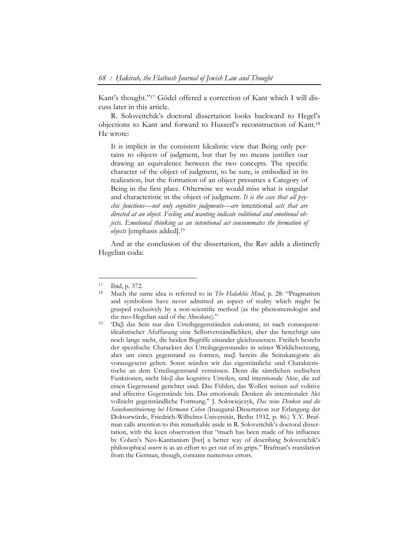Kant's thought."17 Gödel offered a correction of Kant which I will discuss later in this article.

R. Soloveitchik's doctoral dissertation looks backward to Hegel's objections to Kant and forward to Husserl's reconstruction of Kant.18 He wrote:

It is implicit in the consistent Idealistic view that Being only pertains to objects of judgment, but that by no means justifies our drawing an equivalence between the two concepts. The specific character of the object of judgment, to be sure, is embodied in its realization, but the formation of an object presumes a Category of Being in the first place. Otherwise we would miss what is singular and characteristic in the object of judgment. *It is the case that all psychic functions—not only cognitive judgments—are* intentional *acts that are directed at an object. Feeling and wanting indicate volitional and emotional objects. Emotional thinking as an intentional act consummates the formation of objects* [emphasis added].19

And at the conclusion of the dissertation, the Rav adds a distinctly Hegelian coda:

 $17$  Ibid, p. 372.<br> $18$  Much the s

<sup>18</sup> Much the same idea is referred to in *The Halakhic Mind*, p. 28: "Pragmatism and symbolism have never admitted an aspect of reality which might be grasped exclusively by a non-scientific method (as the phenomenologist and the neo-Hegelian said of the Absolute)."<br><sup>19</sup> 'Daβ das Sein nur den Urteilsgegenständen zukommt, ist nach consequent-

idealistischer Afuffasung eine Selbstverständlichkeit, aber das berechtigt uns noch lange nicht, die beiden Begriffe einander gleichzusetzen. Freilich besteht der spezifische Charackter des Urteilsgegenstandes in seiner Wirklichsetzung, aber um einen gegenstand zu formen, muβ bereits die Seinskategorie als vorausgesetzt gelten. Sonst würden wir das eigentümliche und Charakteristische an dem Urteilsegenstand vermissen. Denn die sämtlichen seelischen Funktionen, nicht bloβ das kognitive Urteilen, sind intentionale Akte, die auf einen Gegenstand gerichtet sind. Das Fühlen, das Wollen weisen auf volitive and affective Gegenstände hin. Das emotionale Denken als intentionaler Akt vollzieht gegenständliche Formung." J. Solowiejczyk, *Das reine Denken und die Seinskonstituierung bei Hermann Cohen* (Inaugural-Dissertation zur Erlangung der Doktorwürde, Friedrich-Wilhelms-Universität, Berlin 1932, p. 86.) Y.Y. Brafman calls attention to this remarkable aside in R. Soloveitchik's doctoral dissertation, with the keen observation that "much has been made of his influence by Cohen's Neo-Kantianism [but] a better way of describing Soloveitchik's philosophical *oeuvre* is as an effort to get out of its grips." Brafman's translation from the German, though, contains numerous errors.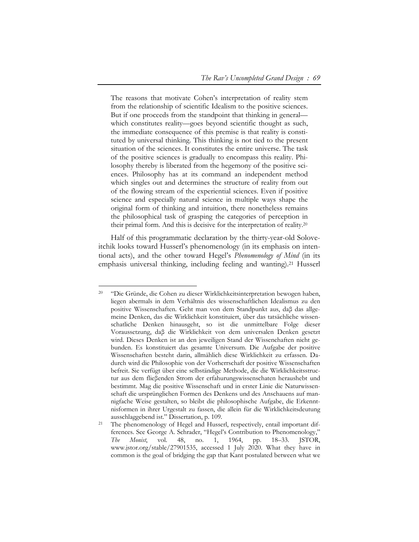The reasons that motivate Cohen's interpretation of reality stem from the relationship of scientific Idealism to the positive sciences. But if one proceeds from the standpoint that thinking in general which constitutes reality—goes beyond scientific thought as such, the immediate consequence of this premise is that reality is constituted by universal thinking. This thinking is not tied to the present situation of the sciences. It constitutes the entire universe. The task of the positive sciences is gradually to encompass this reality. Philosophy thereby is liberated from the hegemony of the positive sciences. Philosophy has at its command an independent method which singles out and determines the structure of reality from out of the flowing stream of the experiential sciences. Even if positive science and especially natural science in multiple ways shape the original form of thinking and intuition, there nonetheless remains the philosophical task of grasping the categories of perception in their primal form. And this is decisive for the interpretation of reality.20

Half of this programmatic declaration by the thirty-year-old Soloveitchik looks toward Husserl's phenomenology (in its emphasis on intentional acts), and the other toward Hegel's *Phenomenology of Mind* (in its emphasis universal thinking, including feeling and wanting).<sup>21</sup> Husserl

<sup>-</sup><sup>20</sup> "Die Gründe, die Cohen zu dieser Wirklichkeitsinterpretation bewogen haben, liegen abermals in dem Verhältnis des wissenschaftlichen Idealismus zu den positive Wissenschaften. Geht man von dem Standpunkt aus, daβ das allgemeine Denken, das die Wirklichkeit konstituiert, über das tatsächliche wissenschatliche Denken hinausgeht, so ist die unmittelbare Folge dieser Voraussetzung, daβ die Wirklichkeit von dem universalen Denken gesetzt wird. Dieses Denken ist an den jeweiligen Stand der Wissenchaften nicht gebunden. Es konstituiert das gesamte Universum. Die Aufgabe der positive Wissenschaften besteht darin, allmählich diese Wirklichkeit zu erfassen. Dadurch wird die Philosophie von der Vorherrschaft der positive Wissenschaften befreit. Sie verfügt über eine selbständige Methode, die die Wirklichkeitsstructur aus dem flieβenden Strom der erfahurungswissenschaten heraushebt und bestimmt. Mag die positive Wissenschaft und in erster Linie die Naturwissenschaft die ursprünglichen Formen des Denkens und des Anschauens auf mannigfache Weise gestalten, so bleibt die philosophische Aufgabe, die Erkenntnisformen in ihrer Urgestalt zu fassen, die allein für die Wirklichkeitsdeutung ausschlaggebend ist." Dissertation, p. 109. 21 The phenomenology of Hegel and Husserl, respectively, entail important dif-

ferences. See George A. Schrader, "Hegel's Contribution to Phenomenology," *The Monist*, vol. 48, no. 1, 1964, pp. 18–33. JSTOR, www.jstor.org/stable/27901535, accessed 1 July 2020. What they have in common is the goal of bridging the gap that Kant postulated between what we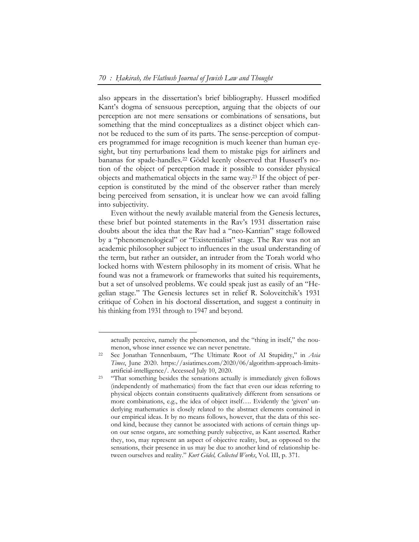also appears in the dissertation's brief bibliography. Husserl modified Kant's dogma of sensuous perception, arguing that the objects of our perception are not mere sensations or combinations of sensations, but something that the mind conceptualizes as a distinct object which cannot be reduced to the sum of its parts. The sense-perception of computers programmed for image recognition is much keener than human eyesight, but tiny perturbations lead them to mistake pigs for airliners and bananas for spade-handles.22 Gödel keenly observed that Husserl's notion of the object of perception made it possible to consider physical objects and mathematical objects in the same way.23 If the object of perception is constituted by the mind of the observer rather than merely being perceived from sensation, it is unclear how we can avoid falling into subjectivity.

Even without the newly available material from the Genesis lectures, these brief but pointed statements in the Rav's 1931 dissertation raise doubts about the idea that the Rav had a "neo-Kantian" stage followed by a "phenomenological" or "Existentialist" stage. The Rav was not an academic philosopher subject to influences in the usual understanding of the term, but rather an outsider, an intruder from the Torah world who locked horns with Western philosophy in its moment of crisis. What he found was not a framework or frameworks that suited his requirements, but a set of unsolved problems. We could speak just as easily of an "Hegelian stage." The Genesis lectures set in relief R. Soloveitchik's 1931 critique of Cohen in his doctoral dissertation, and suggest a continuity in his thinking from 1931 through to 1947 and beyond.

actually perceive, namely the phenomenon, and the "thing in itself," the nou-

menon, whose inner essence we can never penetrate. 22 See Jonathan Tennenbaum, "The Ultimate Root of AI Stupidity," in *Asia Times*, June 2020. https://asiatimes.com/2020/06/algorithm-approach-limits-

artificial-intelligence/. Accessed July 10, 2020. 23 "That something besides the sensations actually is immediately given follows (independently of mathematics) from the fact that even our ideas referring to physical objects contain constituents qualitatively different from sensations or more combinations, e.g., the idea of object itself…. Evidently the 'given' underlying mathematics is closely related to the abstract elements contained in our empirical ideas. It by no means follows, however, that the data of this second kind, because they cannot be associated with actions of certain things upon our sense organs, are something purely subjective, as Kant asserted. Rather they, too, may represent an aspect of objective reality, but, as opposed to the sensations, their presence in us may be due to another kind of relationship between ourselves and reality." *Kurt Gödel, Collected Works*, Vol. III, p. 371.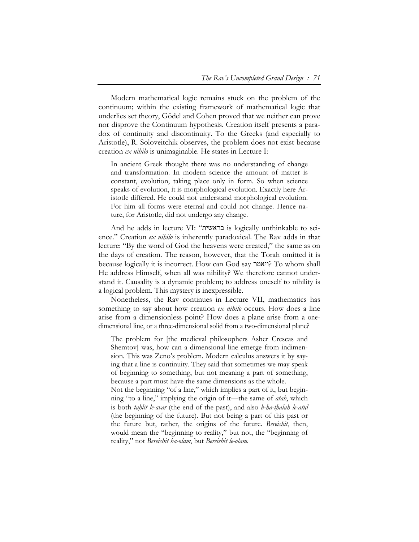Modern mathematical logic remains stuck on the problem of the continuum; within the existing framework of mathematical logic that underlies set theory, Gödel and Cohen proved that we neither can prove nor disprove the Continuum hypothesis. Creation itself presents a paradox of continuity and discontinuity. To the Greeks (and especially to Aristotle), R. Soloveitchik observes, the problem does not exist because creation *ex nihilo* is unimaginable. He states in Lecture I:

In ancient Greek thought there was no understanding of change and transformation. In modern science the amount of matter is constant, evolution, taking place only in form. So when science speaks of evolution, it is morphological evolution. Exactly here Aristotle differed. He could not understand morphological evolution. For him all forms were eternal and could not change. Hence nature, for Aristotle, did not undergo any change.

And he adds in lecture VI: "בראשית is logically unthinkable to science." Creation *ex nihilo* is inherently paradoxical. The Rav adds in that lecture: "By the word of God the heavens were created," the same as on the days of creation. The reason, however, that the Torah omitted it is because logically it is incorrect. How can God say ויאמר ?To whom shall He address Himself, when all was nihility? We therefore cannot understand it. Causality is a dynamic problem; to address oneself to nihility is a logical problem. This mystery is inexpressible.

Nonetheless, the Rav continues in Lecture VII, mathematics has something to say about how creation *ex nihilo* occurs. How does a line arise from a dimensionless point? How does a plane arise from a onedimensional line, or a three-dimensional solid from a two-dimensional plane?

The problem for [the medieval philosophers Asher Crescas and Shemtov] was, how can a dimensional line emerge from indimension. This was Zeno's problem. Modern calculus answers it by saying that a line is continuity. They said that sometimes we may speak of beginning to something, but not meaning a part of something, because a part must have the same dimensions as the whole.

Not the beginning "of a line," which implies a part of it, but beginning "to a line," implying the origin of it—the same of *atah*, which is both *taḥlit le-avar* (the end of the past), and also *b-ha-tḥalah le-atid* (the beginning of the future). But not being a part of this past or the future but, rather, the origins of the future. *Bereishit*, then, would mean the "beginning to reality," but not, the "beginning of reality," not *Bereishit ha-olam*, but *Bereishit le-olam*.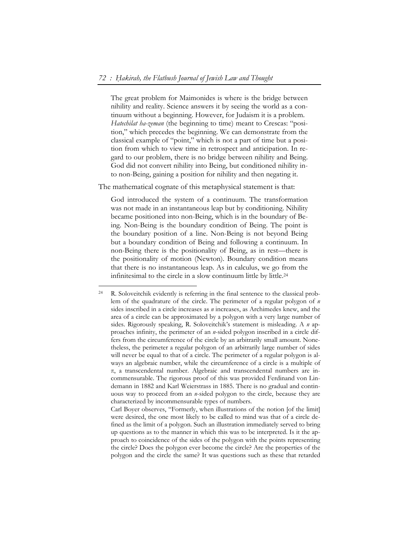The great problem for Maimonides is where is the bridge between nihility and reality. Science answers it by seeing the world as a continuum without a beginning. However, for Judaism it is a problem. *Hatechilat ha-zeman* (the beginning to time) meant to Crescas: "position," which precedes the beginning. We can demonstrate from the classical example of "point," which is not a part of time but a position from which to view time in retrospect and anticipation. In regard to our problem, there is no bridge between nihility and Being. God did not convert nihility into Being, but conditioned nihility into non-Being, gaining a position for nihility and then negating it.

The mathematical cognate of this metaphysical statement is that:

 $\overline{a}$ 

God introduced the system of a continuum. The transformation was not made in an instantaneous leap but by conditioning. Nihility became positioned into non-Being, which is in the boundary of Being. Non-Being is the boundary condition of Being. The point is the boundary position of a line. Non-Being is not beyond Being but a boundary condition of Being and following a continuum. In non-Being there is the positionality of Being, as in rest—there is the positionality of motion (Newton). Boundary condition means that there is no instantaneous leap. As in calculus, we go from the infinitesimal to the circle in a slow continuum little by little.24

Carl Boyer observes, "Formerly, when illustrations of the notion [of the limit] were desired, the one most likely to be called to mind was that of a circle defined as the limit of a polygon. Such an illustration immediately served to bring up questions as to the manner in which this was to be interpreted. Is it the approach to coincidence of the sides of the polygon with the points representing the circle? Does the polygon ever become the circle? Are the properties of the polygon and the circle the same? It was questions such as these that retarded

<sup>24</sup> R. Soloveitchik evidently is referring in the final sentence to the classical problem of the quadrature of the circle. The perimeter of a regular polygon of *n* sides inscribed in a circle increases as *n* increases, as Archimedes knew, and the area of a circle can be approximated by a polygon with a very large number of sides. Rigorously speaking, R. Soloveitchik's statement is misleading. A *n* approaches infinity, the perimeter of an *n*-sided polygon inscribed in a circle differs from the circumference of the circle by an arbitrarily small amount. Nonetheless, the perimeter a regular polygon of an arbitrarily large number of sides will never be equal to that of a circle. The perimeter of a regular polygon is always an algebraic number, while the circumference of a circle is a multiple of π, a transcendental number. Algebraic and transcendental numbers are incommensurable. The rigorous proof of this was provided Ferdinand von Lindemann in 1882 and Karl Weierstrass in 1885. There is no gradual and continuous way to proceed from an *n*-sided polygon to the circle, because they are characterized by incommensurable types of numbers.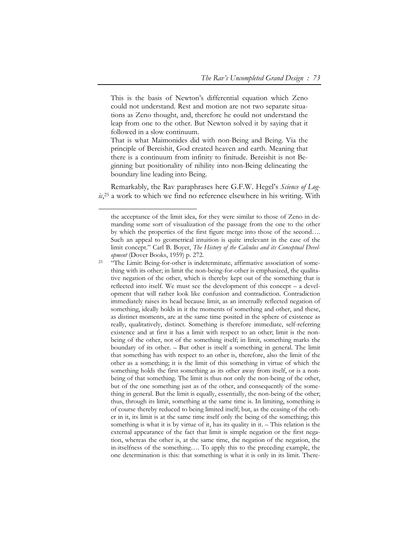This is the basis of Newton's differential equation which Zeno could not understand. Rest and motion are not two separate situations as Zeno thought, and, therefore he could not understand the leap from one to the other. But Newton solved it by saying that it followed in a slow continuum.

That is what Maimonides did with non-Being and Being. Via the principle of Bereishit, God created heaven and earth. Meaning that there is a continuum from infinity to finitude. Bereishit is not Beginning but positionality of nihility into non-Being delineating the boundary line leading into Being.

Remarkably, the Rav paraphrases here G.F.W. Hegel's *Science of Log* $i\zeta^{25}$  a work to which we find no reference elsewhere in his writing. With

the acceptance of the limit idea, for they were similar to those of Zeno in demanding some sort of visualization of the passage from the one to the other by which the properties of the first figure merge into those of the second…. Such an appeal to geometrical intuition is quite irrelevant in the case of the limit concept." Carl B. Boyer, *The History of the Calculus and its Conceptual Devel-*

*opment* (Dover Books, 1959) p. 272.<br><sup>25</sup> "The Limit: Being-for-other is indeterminate, affirmative association of something with its other; in limit the non-being-for-other is emphasized, the qualitative negation of the other, which is thereby kept out of the something that is reflected into itself. We must see the development of this concept – a development that will rather look like confusion and contradiction. Contradiction immediately raises its head because limit, as an internally reflected negation of something, ideally holds in it the moments of something and other, and these, as distinct moments, are at the same time posited in the sphere of existence as really, qualitatively, distinct. Something is therefore immediate, self-referring existence and at first it has a limit with respect to an other; limit is the nonbeing of the other, not of the something itself; in limit, something marks the boundary of its other. – But other is itself a something in general. The limit that something has with respect to an other is, therefore, also the limit of the other as a something; it is the limit of this something in virtue of which the something holds the first something as its other away from itself, or is a nonbeing of that something. The limit is thus not only the non-being of the other, but of the one something just as of the other, and consequently of the something in general. But the limit is equally, essentially, the non-being of the other; thus, through its limit, something at the same time is. In limiting, something is of course thereby reduced to being limited itself; but, as the ceasing of the other in it, its limit is at the same time itself only the being of the something; this something is what it is by virtue of it, has its quality in it. – This relation is the external appearance of the fact that limit is simple negation or the first negation, whereas the other is, at the same time, the negation of the negation, the in-itselfness of the something…. To apply this to the preceding example, the one determination is this: that something is what it is only in its limit. There-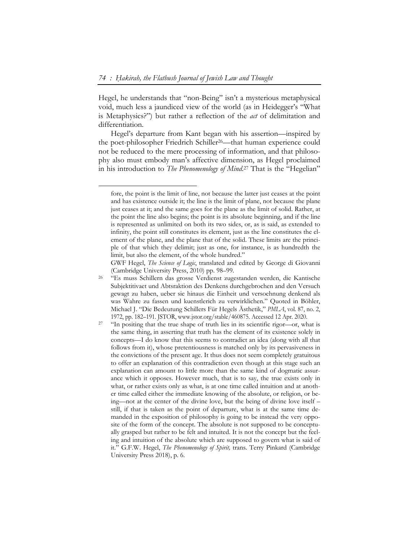$\overline{a}$ 

Hegel, he understands that "non-Being" isn't a mysterious metaphysical void, much less a jaundiced view of the world (as in Heidegger's "What is Metaphysics?") but rather a reflection of the *act* of delimitation and differentiation.

Hegel's departure from Kant began with his assertion—inspired by the poet-philosopher Friedrich Schiller26—that human experience could not be reduced to the mere processing of information, and that philosophy also must embody man's affective dimension, as Hegel proclaimed in his introduction to *The Phenomenology of Mind*. <sup>27</sup> That is the "Hegelian"

GWF Hegel, *The Science of Logic*, translated and edited by George di Giovanni

fore, the point is the limit of line, not because the latter just ceases at the point and has existence outside it; the line is the limit of plane, not because the plane just ceases at it; and the same goes for the plane as the limit of solid. Rather, at the point the line also begins; the point is its absolute beginning, and if the line is represented as unlimited on both its two sides, or, as is said, as extended to infinity, the point still constitutes its element, just as the line constitutes the element of the plane, and the plane that of the solid. These limits are the principle of that which they delimit; just as one, for instance, is as hundredth the limit, but also the element, of the whole hundred."

<sup>(</sup>Cambridge University Press, 2010) pp. 98–99. 26 "Es muss Schillern das grosse Verdienst zugestanden werden, die Kantische Subjektitivaet und Abtsraktion des Denkens durchgebrochen and den Versuch gewagt zu haben, ueber sie hinaus die Einheit und versoehnung denkend als was Wahre zu fassen und kuenstlerich zu verwirklichen." Quoted in Böhler, Michael J. "Die Bedeutung Schillers Für Hegels Ästhetik," *PMLA*, vol. 87, no. 2, 1972, pp. 182–191. JSTOR, www.jstor.org/stable/460875. Accessed 12 Apr. 2020.

<sup>27 &</sup>quot;In positing that the true shape of truth lies in its scientific rigor—or, what is the same thing, in asserting that truth has the element of its existence solely in concepts—I do know that this seems to contradict an idea (along with all that follows from it), whose pretentiousness is matched only by its pervasiveness in the convictions of the present age. It thus does not seem completely gratuitous to offer an explanation of this contradiction even though at this stage such an explanation can amount to little more than the same kind of dogmatic assurance which it opposes. However much, that is to say, the true exists only in what, or rather exists only as what, is at one time called intuition and at another time called either the immediate knowing of the absolute, or religion, or being—not at the center of the divine love, but the being of divine love itself – still, if that is taken as the point of departure, what is at the same time demanded in the exposition of philosophy is going to be instead the very opposite of the form of the concept. The absolute is not supposed to be conceptually grasped but rather to be felt and intuited. It is not the concept but the feeling and intuition of the absolute which are supposed to govern what is said of it." G.F.W. Hegel, *The Phenomenology of Spirit,* trans. Terry Pinkard (Cambridge University Press 2018), p. 6.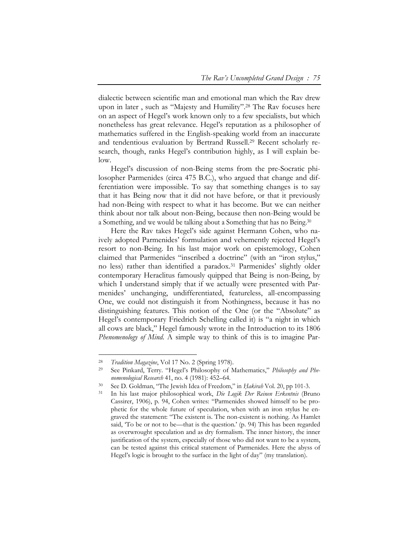dialectic between scientific man and emotional man which the Rav drew upon in later , such as "Majesty and Humility".28 The Rav focuses here on an aspect of Hegel's work known only to a few specialists, but which nonetheless has great relevance. Hegel's reputation as a philosopher of mathematics suffered in the English-speaking world from an inaccurate and tendentious evaluation by Bertrand Russell.29 Recent scholarly research, though, ranks Hegel's contribution highly, as I will explain below.

Hegel's discussion of non-Being stems from the pre-Socratic philosopher Parmenides (circa 475 B.C.), who argued that change and differentiation were impossible. To say that something changes is to say that it has Being now that it did not have before, or that it previously had non-Being with respect to what it has become. But we can neither think about nor talk about non-Being, because then non-Being would be a Something, and we would be talking about a Something that has no Being.30

Here the Rav takes Hegel's side against Hermann Cohen, who naively adopted Parmenides' formulation and vehemently rejected Hegel's resort to non-Being. In his last major work on epistemology, Cohen claimed that Parmenides "inscribed a doctrine" (with an "iron stylus," no less) rather than identified a paradox.31 Parmenides' slightly older contemporary Heraclitus famously quipped that Being is non-Being, by which I understand simply that if we actually were presented with Parmenides' unchanging, undifferentiated, featureless, all-encompassing One, we could not distinguish it from Nothingness, because it has no distinguishing features. This notion of the One (or the "Absolute" as Hegel's contemporary Friedrich Schelling called it) is "a night in which all cows are black," Hegel famously wrote in the Introduction to its 1806 *Phenomenology of Mind*. A simple way to think of this is to imagine Par-

<sup>28</sup>*Tradition Magazine*, Vol 17 No. 2 (Spring 1978). 29 See Pinkard, Terry. "Hegel's Philosophy of Mathematics," *Philosophy and Phenomenological Research* 41, no. 4 (1981): 452–64.<br><sup>30</sup> See D. Goldman, "The Jewish Idea of Freedom," in *Hakirah* Vol. 20, pp 101-3.

<sup>31</sup> In his last major philosophical work, *Die Logik Der Reinen Erkentnis* (Bruno Cassirer, 1906), p. 94, Cohen writes: "Parmenides showed himself to be prophetic for the whole future of speculation, when with an iron stylus he engraved the statement: "The existent is. The non-existent is nothing. As Hamlet said, 'To be or not to be—that is the question.' (p. 94) This has been regarded as overwrought speculation and as dry formalism. The inner history, the inner justification of the system, especially of those who did not want to be a system, can be tested against this critical statement of Parmenides. Here the abyss of Hegel's logic is brought to the surface in the light of day" (my translation).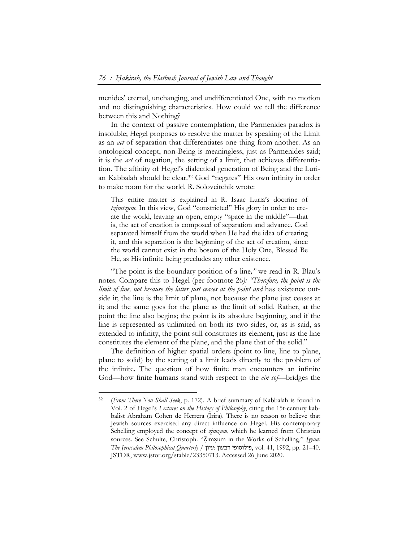menides' eternal, unchanging, and undifferentiated One, with no motion and no distinguishing characteristics. How could we tell the difference between this and Nothing?

In the context of passive contemplation, the Parmenides paradox is insoluble; Hegel proposes to resolve the matter by speaking of the Limit as an *act* of separation that differentiates one thing from another. As an ontological concept, non-Being is meaningless, just as Parmenides said; it is the *act* of negation, the setting of a limit, that achieves differentiation. The affinity of Hegel's dialectical generation of Being and the Lurian Kabbalah should be clear.32 God "negates" His own infinity in order to make room for the world. R. Soloveitchik wrote:

This entire matter is explained in R. Isaac Luria's doctrine of *tzimtzum*. In this view, God "constricted" His glory in order to create the world, leaving an open, empty "space in the middle"—that is, the act of creation is composed of separation and advance. God separated himself from the world when He had the idea of creating it, and this separation is the beginning of the act of creation, since the world cannot exist in the bosom of the Holy One, Blessed Be He, as His infinite being precludes any other existence.

"The point is the boundary position of a line*,"* we read in R. Blau's notes. Compare this to Hegel (per footnote 26*): "Therefore, the point is the limit of line, not because the latter just ceases at the point and* has existence outside it; the line is the limit of plane, not because the plane just ceases at it; and the same goes for the plane as the limit of solid. Rather, at the point the line also begins; the point is its absolute beginning, and if the line is represented as unlimited on both its two sides, or, as is said, as extended to infinity, the point still constitutes its element, just as the line constitutes the element of the plane, and the plane that of the solid."

The definition of higher spatial orders (point to line, line to plane, plane to solid) by the setting of a limit leads directly to the problem of the infinite. The question of how finite man encounters an infinite God—how finite humans stand with respect to the *ein sof*—bridges the

<sup>32 (</sup>*From There You Shall Seek*, p. 172). A brief summary of Kabbalah is found in Vol. 2 of Hegel's *Lectures on the History of Philosophy*, citing the 15t-century kabbalist Abraham Cohen de Herrera (Irira). There is no reason to believe that Jewish sources exercised any direct influence on Hegel. His contemporary Schelling employed the concept of *zimzum*, which he learned from Christian sources. See Schulte, Christoph. "Zimzum in the Works of Schelling," Iyyun: *The Jerusalem Philosophical Quarterly* / עיון: רבעון פילוסופי, vol. 41, 1992, pp. 21–40. JSTOR, www.jstor.org/stable/23350713. Accessed 26 June 2020.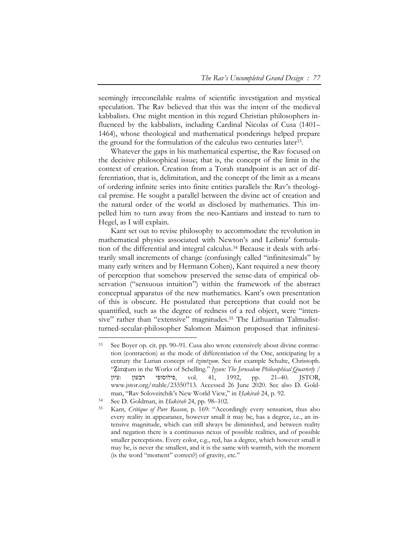seemingly irreconcilable realms of scientific investigation and mystical speculation. The Rav believed that this was the intent of the medieval kabbalists. One might mention in this regard Christian philosophers influenced by the kabbalists, including Cardinal Nicolas of Cusa (1401– 1464), whose theological and mathematical ponderings helped prepare the ground for the formulation of the calculus two centuries later<sup>33</sup>.

Whatever the gaps in his mathematical expertise, the Rav focused on the decisive philosophical issue; that is, the concept of the limit in the context of creation. Creation from a Torah standpoint is an act of differentiation, that is, delimitation, and the concept of the limit as a means of ordering infinite series into finite entities parallels the Rav's theological premise. He sought a parallel between the divine act of creation and the natural order of the world as disclosed by mathematics. This impelled him to turn away from the neo-Kantians and instead to turn to Hegel, as I will explain.

Kant set out to revise philosophy to accommodate the revolution in mathematical physics associated with Newton's and Leibniz' formulation of the differential and integral calculus.34 Because it deals with arbitrarily small increments of change (confusingly called "infinitesimals" by many early writers and by Hermann Cohen), Kant required a new theory of perception that somehow preserved the sense-data of empirical observation ("sensuous intuition") within the framework of the abstract conceptual apparatus of the new mathematics. Kant's own presentation of this is obscure. He postulated that perceptions that could not be quantified, such as the degree of redness of a red object, were "intensive" rather than "extensive" magnitudes.<sup>35</sup> The Lithuanian Talmudistturned-secular-philosopher Salomon Maimon proposed that infinitesi-

<sup>33</sup> See Boyer op. cit. pp. 90–91. Cusa also wrote extensively about divine contraction (contraction) as the mode of differentiation of the One, anticipating by a century the Lurian concept of *tzimtzum*. See for example Schulte, Christoph. "Ẓimẓum in the Works of Schelling." *Iyyun: The Jerusalem Philosophical Quarterly* / פילוסופי רבעון : עיון vol. 41, 1992, pp. 21–40. JSTOR, www.jstor.org/stable/23350713. Accessed 26 June 2020. See also D. Goldman, "Rav Soloveitchik's New World View," in *Hakirah* 24, p. 92.<br>
See D. Goldman, in *Hakirah* 24, pp. 98–102.<br>
Xant, *Critique of Pure Reason*, p. 169: "Accordingly every sensation, thus also

every reality in appearance, however small it may be, has a degree, i.e., an intensive magnitude, which can still always be diminished, and between reality and negation there is a continuous nexus of possible realities, and of possible smaller perceptions. Every color, e.g., red, has a degree, which however small it may be, is never the smallest, and it is the same with warmth, with the moment (is the word "moment" correct?) of gravity, etc."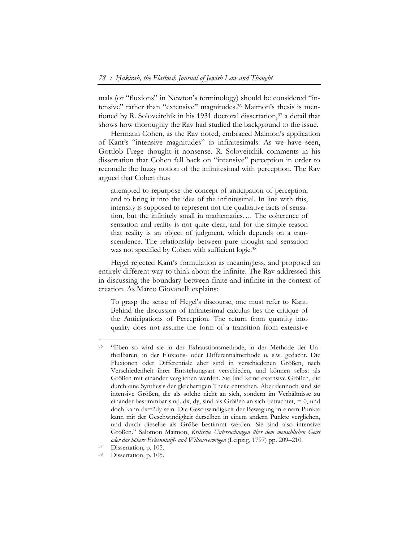mals (or "fluxions" in Newton's terminology) should be considered "intensive" rather than "extensive" magnitudes.<sup>36</sup> Maimon's thesis is mentioned by R. Soloveitchik in his 1931 doctoral dissertation,<sup>37</sup> a detail that shows how thoroughly the Rav had studied the background to the issue.

Hermann Cohen, as the Rav noted, embraced Maimon's application of Kant's "intensive magnitudes" to infinitesimals. As we have seen, Gottlob Frege thought it nonsense. R. Soloveitchik comments in his dissertation that Cohen fell back on "intensive" perception in order to reconcile the fuzzy notion of the infinitesimal with perception. The Rav argued that Cohen thus

attempted to repurpose the concept of anticipation of perception, and to bring it into the idea of the infinitesimal. In line with this, intensity is supposed to represent not the qualitative facts of sensation, but the infinitely small in mathematics…. The coherence of sensation and reality is not quite clear, and for the simple reason that reality is an object of judgment, which depends on a transcendence. The relationship between pure thought and sensation was not specified by Cohen with sufficient logic.<sup>38</sup>

Hegel rejected Kant's formulation as meaningless, and proposed an entirely different way to think about the infinite. The Rav addressed this in discussing the boundary between finite and infinite in the context of creation. As Marco Giovanelli explains:

To grasp the sense of Hegel's discourse, one must refer to Kant. Behind the discussion of infinitesimal calculus lies the critique of the Anticipations of Perception. The return from quantity into quality does not assume the form of a transition from extensive

<sup>36 &</sup>quot;Eben so wird sie in der Exhaustionsmethode, in der Methode der Untheilbaren, in der Fluxions- oder Differentialmethode u. s.w. gedacht. Die Fluxionen oder Differentiale aber sind in verschiedenen Größen, nach Verschiedenheit ihrer Entstehungsart verschieden, und können selbst als Größen mit einander verglichen werden. Sie find keine extensive Größen, die durch eine Synthesis der gleichartigen Theile entstehen. Aber dennoch sind sie intensive Größen, die als solche nicht an sich, sondern im Verhältnisse zu einander bestimmbar sind. dx, dy, sind als Größen an sich betrachtet, = 0, und doch kann dx=2dy sein. Die Geschwindigkeit der Bewegung in einem Punkte kann mit der Geschwindigkeit derselben in einem andern Punkte verglichen, und durch dieselbe als Größe bestimmt werden. Sie sind also intensive Größen." Salomon Maimon, *Kritische Untersuchungen über dem menschlichen Geist oder das höhere Erkenntniß- und Willensvermögen* (Leipzig, 1797) pp. 209–210. 37 Dissertation, p. 105.

<sup>38</sup> Dissertation, p. 105.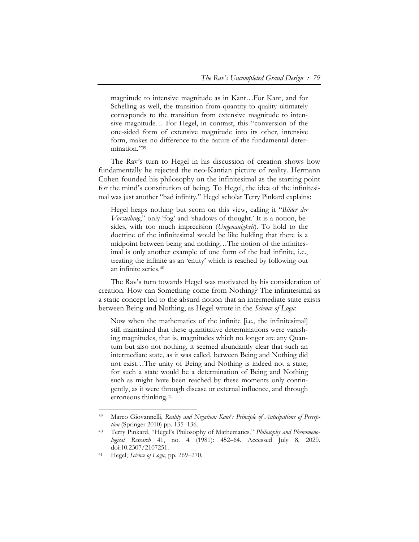magnitude to intensive magnitude as in Kant…For Kant, and for Schelling as well, the transition from quantity to quality ultimately corresponds to the transition from extensive magnitude to intensive magnitude… For Hegel, in contrast, this "conversion of the one-sided form of extensive magnitude into its other, intensive form, makes no difference to the nature of the fundamental determination."39

The Rav's turn to Hegel in his discussion of creation shows how fundamentally he rejected the neo-Kantian picture of reality. Hermann Cohen founded his philosophy on the infinitesimal as the starting point for the mind's constitution of being. To Hegel, the idea of the infinitesimal was just another "bad infinity." Hegel scholar Terry Pinkard explains:

Hegel heaps nothing but scorn on this view, calling it "*Bilder der Vorstellung*," only 'fog' and 'shadows of thought.' It is a notion, besides, with too much imprecision (*Ungenauigkeit*). To hold to the doctrine of the infinitesimal would be like holding that there is a midpoint between being and nothing…The notion of the infinitesimal is only another example of one form of the bad infinite, i.e., treating the infinite as an 'entity' which is reached by following out an infinite series.40

The Rav's turn towards Hegel was motivated by his consideration of creation. How can Something come from Nothing? The infinitesimal as a static concept led to the absurd notion that an intermediate state exists between Being and Nothing, as Hegel wrote in the *Science of Logic*:

Now when the mathematics of the infinite [i.e., the infinitesimal] still maintained that these quantitative determinations were vanishing magnitudes, that is, magnitudes which no longer are any Quantum but also not nothing, it seemed abundantly clear that such an intermediate state, as it was called, between Being and Nothing did not exist…The unity of Being and Nothing is indeed not a state; for such a state would be a determination of Being and Nothing such as might have been reached by these moments only contingently, as it were through disease or external influence, and through erroneous thinking.41

<sup>39</sup> Marco Giovannelli, *Reality and Negation: Kant's Principle of Anticipations of Perception* (Springer 2010) pp. 135–136. 40 Terry Pinkard, "Hegel's Philosophy of Mathematics." *Philosophy and Phenomeno-*

*logical Research* 41, no. 4 (1981): 452–64. Accessed July 8, 2020. doi:10.2307/2107251. 41 Hegel, *Science of Logic*, pp. 269–270.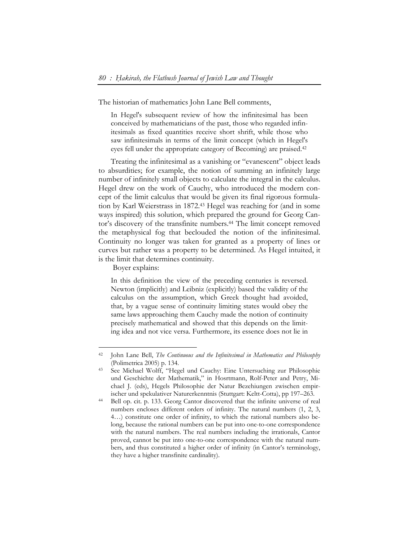The historian of mathematics John Lane Bell comments,

In Hegel's subsequent review of how the infinitesimal has been conceived by mathematicians of the past, those who regarded infinitesimals as fixed quantities receive short shrift, while those who saw infinitesimals in terms of the limit concept (which in Hegel's eyes fell under the appropriate category of Becoming) are praised.42

Treating the infinitesimal as a vanishing or "evanescent" object leads to absurdities; for example, the notion of summing an infinitely large number of infinitely small objects to calculate the integral in the calculus. Hegel drew on the work of Cauchy, who introduced the modern concept of the limit calculus that would be given its final rigorous formulation by Karl Weierstrass in 1872.43 Hegel was reaching for (and in some ways inspired) this solution, which prepared the ground for Georg Cantor's discovery of the transfinite numbers.44 The limit concept removed the metaphysical fog that beclouded the notion of the infinitesimal. Continuity no longer was taken for granted as a property of lines or curves but rather was a property to be determined. As Hegel intuited, it is the limit that determines continuity.

Boyer explains:

 $\overline{a}$ 

In this definition the view of the preceding centuries is reversed. Newton (implicitly) and Leibniz (explicitly) based the validity of the calculus on the assumption, which Greek thought had avoided, that, by a vague sense of continuity limiting states would obey the same laws approaching them Cauchy made the notion of continuity precisely mathematical and showed that this depends on the limiting idea and not vice versa. Furthermore, its essence does not lie in

<sup>42</sup> John Lane Bell, *The Continuous and the Infinitesimal in Mathematics and Philosophy* (Polimetrica 2005) p. 134. 43 See Michael Wolff, "Hegel und Cauchy: Eine Untersuching zur Philosophie

und Geschichte der Mathematik," in Hosrtmann, Rolf-Peter and Petry, Michael J. (eds), Hegels Philosophie der Natur Bezehiungen zwischen empir-

ischer und spekulativer Naturerkenntnis (Stuttgart: Keltt-Cotta), pp 197–263. 44 Bell op. cit. p. 133. Georg Cantor discovered that the infinite universe of real numbers encloses different orders of infinity. The natural numbers (1, 2, 3, 4…) constitute one order of infinity, to which the rational numbers also belong, because the rational numbers can be put into one-to-one correspondence with the natural numbers. The real numbers including the irrationals, Cantor proved, cannot be put into one-to-one correspondence with the natural numbers, and thus constituted a higher order of infinity (in Cantor's terminology, they have a higher transfinite cardinality).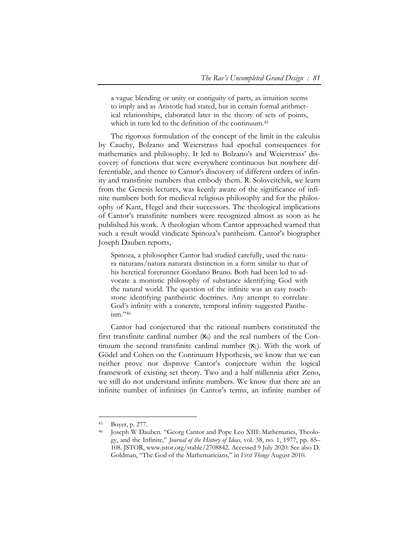a vague blending or unity or contiguity of parts, as intuition seems to imply and as Aristotle had stated, but in certain formal arithmetical relationships, elaborated later in the theory of sets of points, which in turn led to the definition of the continuum.45

The rigorous formulation of the concept of the limit in the calculus by Cauchy, Bolzano and Weierstrass had epochal consequences for mathematics and philosophy. It led to Bolzano's and Weierstrass' discovery of functions that were everywhere continuous but nowhere differentiable, and thence to Cantor's discovery of different orders of infinity and transfinite numbers that embody them. R. Soloveitchik, we learn from the Genesis lectures, was keenly aware of the significance of infinite numbers both for medieval religious philosophy and for the philosophy of Kant, Hegel and their successors. The theological implications of Cantor's transfinite numbers were recognized almost as soon as he published his work. A theologian whom Cantor approached warned that such a result would vindicate Spinoza's pantheism. Cantor's biographer Joseph Dauben reports,

Spinoza, a philosopher Cantor had studied carefully, used the natura naturans/natura naturata distinction in a form similar to that of his heretical forerunner Giordano Bruno. Both had been led to advocate a monistic philosophy of substance identifying God with the natural world. The question of the infinite was an easy touchstone identifying pantheistic doctrines. Any attempt to correlate God's infinity with a concrete, temporal infinity suggested Panthe $ism.$ "46

Cantor had conjectured that the rational numbers constituted the first transfinite cardinal number  $(X_0)$  and the real numbers of the Continuum the second transfinite cardinal number  $(X_1)$ . With the work of Gödel and Cohen on the Continuum Hypothesis, we know that we can neither prove nor disprove Cantor's conjecture within the logical framework of existing set theory. Two and a half millennia after Zeno, we still do not understand infinite numbers. We know that there are an infinite number of infinities (in Cantor's terms, an infinite number of

<sup>45</sup> Boyer, p. 277.

Joseph W Dauben. "Georg Cantor and Pope Leo XIII: Mathematics, Theology, and the Infinite," *Journal of the History of Ideas,* vol. 38, no. 1, 1977, pp. 85– 108. JSTOR, www.jstor.org/stable/2708842. Accessed 9 July 2020. See also D. Goldman, "The God of the Mathematicians," in *First Things* August 2010.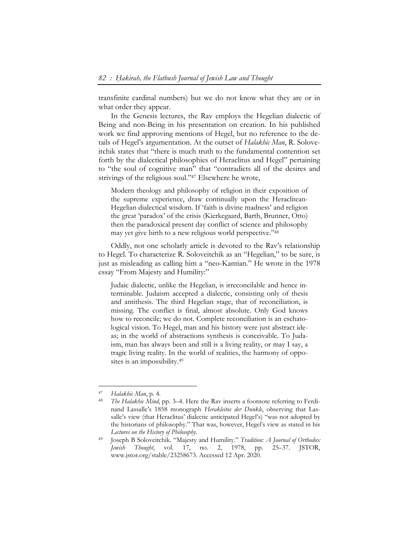transfinite cardinal numbers) but we do not know what they are or in what order they appear.

In the Genesis lectures, the Rav employs the Hegelian dialectic of Being and non-Being in his presentation on creation. In his published work we find approving mentions of Hegel, but no reference to the details of Hegel's argumentation. At the outset of *Halakhic Man*, R. Soloveitchik states that "there is much truth to the fundamental contention set forth by the dialectical philosophies of Heraclitus and Hegel" pertaining to "the soul of cognitive man" that "contradicts all of the desires and strivings of the religious soul."47 Elsewhere he wrote,

Modern theology and philosophy of religion in their exposition of the supreme experience, draw continually upon the Heraclitean-Hegelian dialectical wisdom. If 'faith is divine madness' and religion the great 'paradox' of the crisis (Kierkegaard, Barth, Brunner, Otto) then the paradoxical present day conflict of science and philosophy may yet give birth to a new religious world perspective."48

Oddly, not one scholarly article is devoted to the Rav's relationship to Hegel. To characterize R. Soloveitchik as an "Hegelian," to be sure, is just as misleading as calling him a "neo-Kantian." He wrote in the 1978 essay "From Majesty and Humility:"

Judaic dialectic, unlike the Hegelian, is irreconcilable and hence interminable. Judaism accepted a dialectic, consisting only of thesis and antithesis. The third Hegelian stage, that of reconciliation, is missing. The conflict is final, almost absolute. Only God knows how to reconcile; we do not. Complete reconciliation is an eschatological vision. To Hegel, man and his history were just abstract ideas; in the world of abstractions synthesis is conceivable. To Judaism, man has always been and still is a living reality, or may I say, a tragic living reality. In the world of realities, the harmony of opposites is an impossibility.49

<sup>&</sup>lt;sup>47</sup> Halakhic Man, p. 4.<br><sup>48</sup> *The Halakhic Mind*, pp. 3–4. Here the Rav inserts a footnote referring to Ferdinand Lassalle's 1858 monograph *Herakleitos der Dunkle*, observing that Lassalle's view (that Heraclitus' dialectic anticipated Hegel's) "was not adopted by the historians of philosophy." That was, however, Hegel's view as stated in his *Lectures on the History of Philosophy.*<br>Joseph B Soloveitchik. "Majesty and Humility." *Tradition: A Journal of Orthodox* 

*Jewish Thought*, vol. 17, no. 2, 1978, pp. 25–37. JSTOR, www.jstor.org/stable/23258673. Accessed 12 Apr. 2020.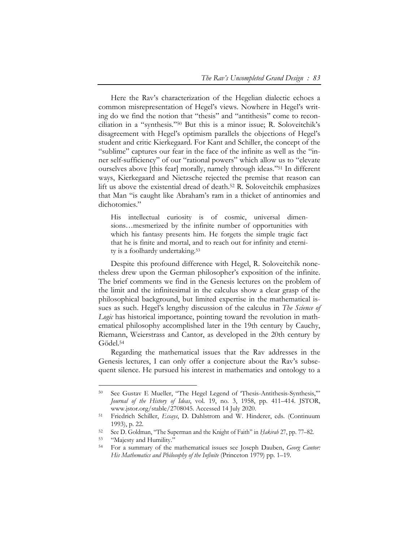Here the Rav's characterization of the Hegelian dialectic echoes a common misrepresentation of Hegel's views. Nowhere in Hegel's writing do we find the notion that "thesis" and "antithesis" come to reconciliation in a "synthesis."50 But this is a minor issue; R. Soloveitchik's disagreement with Hegel's optimism parallels the objections of Hegel's student and critic Kierkegaard. For Kant and Schiller, the concept of the "sublime" captures our fear in the face of the infinite as well as the "inner self-sufficiency" of our "rational powers" which allow us to "elevate ourselves above [this fear] morally, namely through ideas."51 In different ways, Kierkegaard and Nietzsche rejected the premise that reason can lift us above the existential dread of death.52 R. Soloveitchik emphasizes that Man "is caught like Abraham's ram in a thicket of antinomies and dichotomies."

His intellectual curiosity is of cosmic, universal dimensions... mesmerized by the infinite number of opportunities with which his fantasy presents him. He forgets the simple tragic fact that he is finite and mortal, and to reach out for infinity and eternity is a foolhardy undertaking.53

Despite this profound difference with Hegel, R. Soloveitchik nonetheless drew upon the German philosopher's exposition of the infinite. The brief comments we find in the Genesis lectures on the problem of the limit and the infinitesimal in the calculus show a clear grasp of the philosophical background, but limited expertise in the mathematical issues as such. Hegel's lengthy discussion of the calculus in *The Science of Logic* has historical importance, pointing toward the revolution in mathematical philosophy accomplished later in the 19th century by Cauchy, Riemann, Weierstrass and Cantor, as developed in the 20th century by Gödel.54

Regarding the mathematical issues that the Rav addresses in the Genesis lectures, I can only offer a conjecture about the Rav's subsequent silence. He pursued his interest in mathematics and ontology to a

<sup>50</sup> See Gustav E Mueller, "The Hegel Legend of 'Thesis-Antithesis-Synthesis,'" *Journal of the History of Ideas*, vol. 19, no. 3, 1958, pp. 411–414. JSTOR, www.jstor.org/stable/2708045. Accessed 14 July 2020. 51 Friedrich Schiller, *Essays*, D. Dahlstrom and W. Hinderer, eds. (Continuum

<sup>1993),</sup> p. 22.<br>
52 See D. Goldman, "The Superman and the Knight of Faith" in *Hakirah* 27, pp. 77–82.<br>
<sup>53</sup> "Majesty and Humility."

<sup>&</sup>quot;Majesty and Humility."

<sup>54</sup> For a summary of the mathematical issues see Joseph Dauben, *Georg Cantor: His Mathematics and Philosophy of the Infinite* (Princeton 1979) pp. 1–19.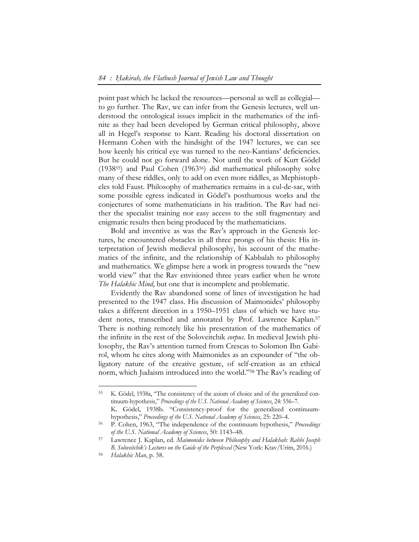point past which he lacked the resources—personal as well as collegial to go further. The Rav, we can infer from the Genesis lectures, well understood the ontological issues implicit in the mathematics of the infinite as they had been developed by German critical philosophy, above all in Hegel's response to Kant. Reading his doctoral dissertation on Hermann Cohen with the hindsight of the 1947 lectures, we can see how keenly his critical eye was turned to the neo-Kantians' deficiencies. But he could not go forward alone. Not until the work of Kurt Gödel (193855) and Paul Cohen (196356) did mathematical philosophy solve many of these riddles, only to add on even more riddles, as Mephistopheles told Faust. Philosophy of mathematics remains in a cul-de-sac, with some possible egress indicated in Gödel's posthumous works and the conjectures of some mathematicians in his tradition. The Rav had neither the specialist training nor easy access to the still fragmentary and enigmatic results then being produced by the mathematicians.

Bold and inventive as was the Rav's approach in the Genesis lectures, he encountered obstacles in all three prongs of his thesis: His interpretation of Jewish medieval philosophy, his account of the mathematics of the infinite, and the relationship of Kabbalah to philosophy and mathematics. We glimpse here a work in progress towards the "new world view" that the Rav envisioned three years earlier when he wrote *The Halakhic Mind*, but one that is incomplete and problematic.

Evidently the Rav abandoned some of lines of investigation he had presented to the 1947 class. His discussion of Maimonides' philosophy takes a different direction in a 1950–1951 class of which we have student notes, transcribed and annotated by Prof. Lawrence Kaplan.<sup>57</sup> There is nothing remotely like his presentation of the mathematics of the infinite in the rest of the Soloveitchik *corpus*. In medieval Jewish philosophy, the Rav's attention turned from Crescas to Solomon Ibn Gabirol, whom he cites along with Maimonides as an expounder of "the obligatory nature of the creative gesture, of self-creation as an ethical norm, which Judaism introduced into the world."58 The Rav's reading of

<sup>55</sup> K. Gödel, 1938a, "The consistency of the axiom of choice and of the generalized continuum-hypothesis," *Proceedings of the U.S. National Academy of Sciences*, 24: 556–7. K. Gödel, 1938b. "Consistency-proof for the generalized continuumhypothesis," *Proceedings of the U.S. National Academy of Sciences*, 25: 220–4.

<sup>56</sup> P. Cohen, 1963, "The independence of the continuum hypothesis," *Proceedings of the U.S. National Academy of Sciences*, 50: 1143–48. 57 Lawrence J. Kaplan, ed. *Maimonides between Philosophy and Halakhah: Rabbi Joseph* 

*B. Soloveitchik's Lectures on the Guide of the Perplexed* (New York: Ktav/Urim, 2016.)

<sup>58</sup> *Halakhic Man*, p. 58.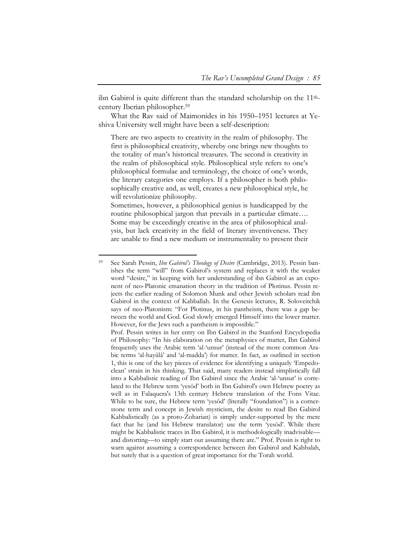ibn Gabirol is quite different than the standard scholarship on the 11thcentury Iberian philosopher.59

What the Rav said of Maimonides in his 1950–1951 lectures at Yeshiva University well might have been a self-description:

There are two aspects to creativity in the realm of philosophy. The first is philosophical creativity, whereby one brings new thoughts to the totality of man's historical treasures. The second is creativity in the realm of philosophical style. Philosophical style refers to one's philosophical formulae and terminology, the choice of one's words, the literary categories one employs. If a philosopher is both philosophically creative and, as well, creates a new philosophical style, he will revolutionize philosophy.

Sometimes, however, a philosophical genius is handicapped by the routine philosophical jargon that prevails in a particular climate…. Some may be exceedingly creative in the area of philosophical analysis, but lack creativity in the field of literary inventiveness. They are unable to find a new medium or instrumentality to present their

<sup>59</sup> See Sarah Pessin, *Ibn Gabirol's Theology of Desire* (Cambridge, 2013). Pessin banishes the term "will" from Gabirol's system and replaces it with the weaker word "desire," in keeping with her understanding of ibn Gabirol as an exponent of neo-Platonic emanation theory in the tradition of Plotinus. Pessin rejects the earlier reading of Solomon Munk and other Jewish scholars read ibn Gabirol in the context of Kabballah. In the Genesis lectures, R. Soloveitchik says of neo-Platonism: "For Plotinus, in his pantheism, there was a gap between the world and God. God slowly emerged Himself into the lower matter. However, for the Jews such a pantheism is impossible."

Prof. Pessin writes in her entry on Ibn Gabirol in the Stanford Encyclopedia of Philosophy: "In his elaboration on the metaphysics of matter, Ibn Gabirol frequently uses the Arabic term 'al-'unsur' (instead of the more common Arabic terms 'al-hayûlâ' and 'al-madda') for matter. In fact, as outlined in section 1, this is one of the key pieces of evidence for identifying a uniquely 'Empedoclean' strain in his thinking. That said, many readers instead simplistically fall into a Kabbalistic reading of Ibn Gabirol since the Arabic 'al-'unsur' is correlated to the Hebrew term 'yesôd' both in Ibn Gabirol's own Hebrew poetry as well as in Falaquera's 13th century Hebrew translation of the Fons Vitae. While to be sure, the Hebrew term 'yesôd' (literally "foundation") is a cornerstone term and concept in Jewish mysticism, the desire to read Ibn Gabirol Kabbalistically (as a proto-Zoharian) is simply under-supported by the mere fact that he (and his Hebrew translator) use the term 'yesôd'. While there might be Kabbalistic traces in Ibn Gabirol, it is methodologically inadvisable and distorting—to simply start out assuming there are." Prof. Pessin is right to warn against assuming a correspondence between ibn Gabirol and Kabbalah, but surely that is a question of great importance for the Torah world.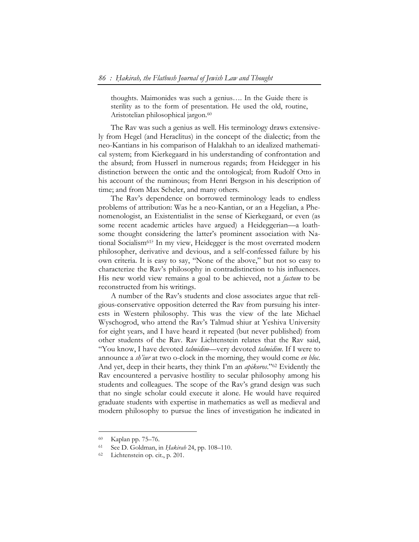thoughts. Maimonides was such a genius…. In the Guide there is sterility as to the form of presentation. He used the old, routine, Aristotelian philosophical jargon.<sup>60</sup>

The Rav was such a genius as well. His terminology draws extensively from Hegel (and Heraclitus) in the concept of the dialectic; from the neo-Kantians in his comparison of Halakhah to an idealized mathematical system; from Kierkegaard in his understanding of confrontation and the absurd; from Husserl in numerous regards; from Heidegger in his distinction between the ontic and the ontological; from Rudolf Otto in his account of the numinous; from Henri Bergson in his description of time; and from Max Scheler, and many others.

The Rav's dependence on borrowed terminology leads to endless problems of attribution: Was he a neo-Kantian, or an a Hegelian, a Phenomenologist, an Existentialist in the sense of Kierkegaard, or even (as some recent academic articles have argued) a Heideggerian—a loathsome thought considering the latter's prominent association with National Socialism61? In my view, Heidegger is the most overrated modern philosopher, derivative and devious, and a self-confessed failure by his own criteria. It is easy to say, "None of the above," but not so easy to characterize the Rav's philosophy in contradistinction to his influences. His new world view remains a goal to be achieved, not a *factum* to be reconstructed from his writings.

A number of the Rav's students and close associates argue that religious-conservative opposition deterred the Rav from pursuing his interests in Western philosophy. This was the view of the late Michael Wyschogrod, who attend the Rav's Talmud shiur at Yeshiva University for eight years, and I have heard it repeated (but never published) from other students of the Rav. Rav Lichtenstein relates that the Rav said, "You know, I have devoted *talmidim—*very devoted *talmidim*. If I were to announce a *sh'iur* at two o-clock in the morning, they would come *en bloc*. And yet, deep in their hearts, they think I'm an *apikoros*."62 Evidently the Rav encountered a pervasive hostility to secular philosophy among his students and colleagues. The scope of the Rav's grand design was such that no single scholar could execute it alone. He would have required graduate students with expertise in mathematics as well as medieval and modern philosophy to pursue the lines of investigation he indicated in

<sup>60</sup> Kaplan pp. 75–76.

<sup>61</sup> See D. Goldman, in *Ḥakirah* 24, pp. 108–110. 62 Lichtenstein op. cit., p. 201.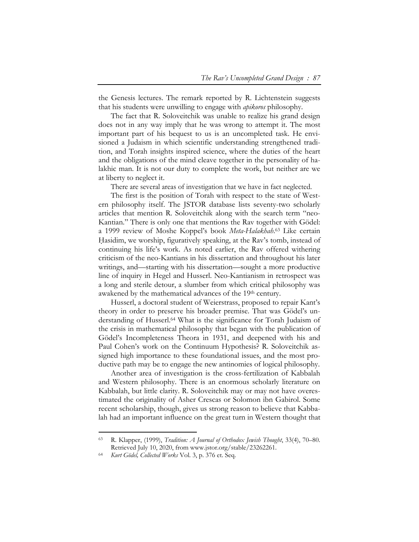the Genesis lectures. The remark reported by R. Lichtenstein suggests that his students were unwilling to engage with *apikoros* philosophy.

The fact that R. Soloveitchik was unable to realize his grand design does not in any way imply that he was wrong to attempt it. The most important part of his bequest to us is an uncompleted task. He envisioned a Judaism in which scientific understanding strengthened tradition, and Torah insights inspired science, where the duties of the heart and the obligations of the mind cleave together in the personality of halakhic man. It is not our duty to complete the work, but neither are we at liberty to neglect it.

There are several areas of investigation that we have in fact neglected.

The first is the position of Torah with respect to the state of Western philosophy itself. The JSTOR database lists seventy-two scholarly articles that mention R. Soloveitchik along with the search term "neo-Kantian." There is only one that mentions the Rav together with Gödel: a 1999 review of Moshe Koppel's book *Meta-Halakhah*. 63 Like certain Hasidim, we worship, figuratively speaking, at the Rav's tomb, instead of continuing his life's work. As noted earlier, the Rav offered withering criticism of the neo-Kantians in his dissertation and throughout his later writings, and—starting with his dissertation—sought a more productive line of inquiry in Hegel and Husserl. Neo-Kantianism in retrospect was a long and sterile detour, a slumber from which critical philosophy was awakened by the mathematical advances of the 19th century.

Husserl, a doctoral student of Weierstrass, proposed to repair Kant's theory in order to preserve his broader premise. That was Gödel's understanding of Husserl.64 What is the significance for Torah Judaism of the crisis in mathematical philosophy that began with the publication of Gödel's Incompleteness Theora in 1931, and deepened with his and Paul Cohen's work on the Continuum Hypothesis? R. Soloveitchik assigned high importance to these foundational issues, and the most productive path may be to engage the new antinomies of logical philosophy.

Another area of investigation is the cross-fertilization of Kabbalah and Western philosophy. There is an enormous scholarly literature on Kabbalah, but little clarity. R. Soloveitchik may or may not have overestimated the originality of Asher Crescas or Solomon ibn Gabirol. Some recent scholarship, though, gives us strong reason to believe that Kabbalah had an important influence on the great turn in Western thought that

<sup>63</sup> R. Klapper, (1999), *Tradition: A Journal of Orthodox Jewish Thought*, 33(4), 70–80. Retrieved July 10, 2020, from www.jstor.org/stable/23262261. 64 *Kurt Gödel, Collected Works* Vol. 3, p. 376 et. Seq.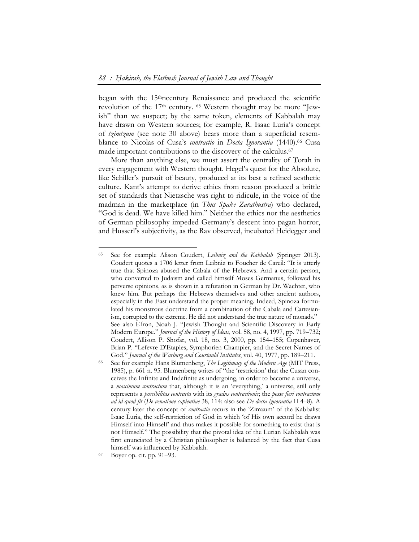began with the 15<sup>th</sup>ncentury Renaissance and produced the scientific revolution of the 17<sup>th</sup> century. <sup>65</sup> Western thought may be more "Jewish" than we suspect; by the same token, elements of Kabbalah may have drawn on Western sources; for example, R. Isaac Luria's concept of *tzimtzum* (see note 30 above) bears more than a superficial resemblance to Nicolas of Cusa's *contractio* in *Docta Ignorantia* (1440).<sup>66</sup> Cusa made important contributions to the discovery of the calculus.<sup>67</sup>

More than anything else, we must assert the centrality of Torah in every engagement with Western thought. Hegel's quest for the Absolute, like Schiller's pursuit of beauty, produced at its best a refined aesthetic culture. Kant's attempt to derive ethics from reason produced a brittle set of standards that Nietzsche was right to ridicule, in the voice of the madman in the marketplace (in *Thus Spake Zarathustra*) who declared, "God is dead. We have killed him." Neither the ethics nor the aesthetics of German philosophy impeded Germany's descent into pagan horror, and Husserl's subjectivity, as the Rav observed, incubated Heidegger and

<sup>65</sup> See for example Alison Coudert, *Leibniz and the Kabbalah* (Springer 2013). Coudert quotes a 1706 letter from Leibniz to Foucher de Careil: "It is utterly true that Spinoza abused the Cabala of the Hebrews. And a certain person, who converted to Judaism and called himself Moses Germanus, followed his perverse opinions, as is shown in a refutation in German by Dr. Wachter, who knew him. But perhaps the Hebrews themselves and other ancient authors, especially in the East understand the proper meaning. Indeed, Spinoza formulated his monstrous doctrine from a combination of the Cabala and Cartesianism, corrupted to the extreme. He did not understand the true nature of monads." See also Efron, Noah J. "Jewish Thought and Scientific Discovery in Early Modern Europe." *Journal of the History of Ideas*, vol. 58, no. 4, 1997, pp. 719–732; Coudert, Allison P. Shofar, vol. 18, no. 3, 2000, pp. 154–155; Copenhaver, Brian P. "Lefevre D'Etaples, Symphorien Champier, and the Secret Names of God." *Journal of the Warburg and Courtauld Institutes*, vol. 40, 1977, pp. 189–211. 66 See for example Hans Blumenberg, *The Legitimacy of the Modern Age* (MIT Press,

<sup>1985),</sup> p. 661 n. 95. Blumenberg writes of "the 'restriction' that the Cusan conceives the Infinite and Indefinite as undergoing, in order to become a universe, a *maximum contractum* that, although it is an 'everything,' a universe, still only represents a *possibilitas contracta* with its *gradus contractionis*; the *posse fieri contractum ad id quod fit* (*De venatione sapientiae* 38, 114; also see *De docta ignorantia* II 4–8). A century later the concept of *contractio* recurs in the 'Zimzum' of the Kabbalist Isaac Luria, the self-restriction of God in which 'of His own accord he draws Himself into Himself' and thus makes it possible for something to exist that is not Himself." The possibility that the pivotal idea of the Lurian Kabbalah was first enunciated by a Christian philosopher is balanced by the fact that Cusa himself was influenced by Kabbalah.<br><sup>67</sup> Boyer op. cit. pp. 91–93.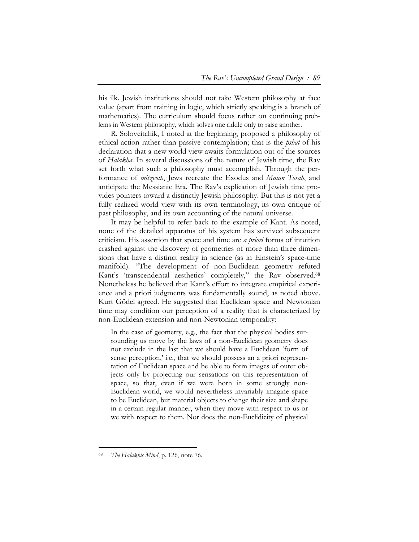his ilk. Jewish institutions should not take Western philosophy at face value (apart from training in logic, which strictly speaking is a branch of mathematics). The curriculum should focus rather on continuing problems in Western philosophy, which solves one riddle only to raise another.

R. Soloveitchik, I noted at the beginning, proposed a philosophy of ethical action rather than passive contemplation; that is the *pshat* of his declaration that a new world view awaits formulation out of the sources of *Halakha*. In several discussions of the nature of Jewish time, the Rav set forth what such a philosophy must accomplish. Through the performance of *mitzvoth*, Jews recreate the Exodus and *Matan Torah*, and anticipate the Messianic Era. The Rav's explication of Jewish time provides pointers toward a distinctly Jewish philosophy. But this is not yet a fully realized world view with its own terminology, its own critique of past philosophy, and its own accounting of the natural universe.

It may be helpful to refer back to the example of Kant. As noted, none of the detailed apparatus of his system has survived subsequent criticism. His assertion that space and time are *a priori* forms of intuition crashed against the discovery of geometries of more than three dimensions that have a distinct reality in science (as in Einstein's space-time manifold). "The development of non-Euclidean geometry refuted Kant's 'transcendental aesthetics' completely," the Rav observed.68 Nonetheless he believed that Kant's effort to integrate empirical experience and a priori judgments was fundamentally sound, as noted above. Kurt Gödel agreed. He suggested that Euclidean space and Newtonian time may condition our perception of a reality that is characterized by non-Euclidean extension and non-Newtonian temporality:

In the case of geometry, e.g., the fact that the physical bodies surrounding us move by the laws of a non-Euclidean geometry does not exclude in the last that we should have a Euclidean 'form of sense perception,' i.e., that we should possess an a priori representation of Euclidean space and be able to form images of outer objects only by projecting our sensations on this representation of space, so that, even if we were born in some strongly non-Euclidean world, we would nevertheless invariably imagine space to be Euclidean, but material objects to change their size and shape in a certain regular manner, when they move with respect to us or we with respect to them. Nor does the non-Euclidicity of physical

<sup>68</sup> *The Halakhic Mind*, p. 126, note 76.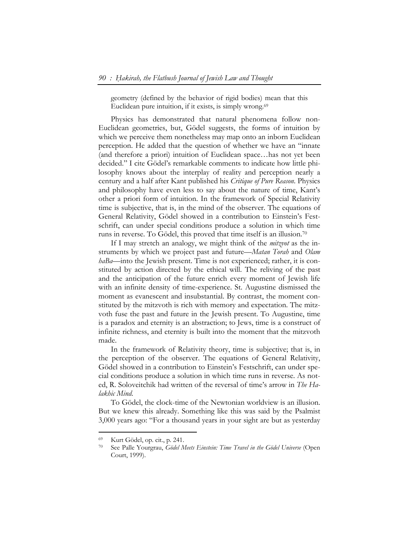geometry (defined by the behavior of rigid bodies) mean that this Euclidean pure intuition, if it exists, is simply wrong.<sup>69</sup>

Physics has demonstrated that natural phenomena follow non-Euclidean geometries, but, Gödel suggests, the forms of intuition by which we perceive them nonetheless may map onto an inborn Euclidean perception. He added that the question of whether we have an "innate (and therefore a priori) intuition of Euclidean space…has not yet been decided." I cite Gödel's remarkable comments to indicate how little philosophy knows about the interplay of reality and perception nearly a century and a half after Kant published his *Critique of Pure Reason*. Physics and philosophy have even less to say about the nature of time, Kant's other a priori form of intuition. In the framework of Special Relativity time is subjective, that is, in the mind of the observer. The equations of General Relativity, Gödel showed in a contribution to Einstein's Festschrift, can under special conditions produce a solution in which time runs in reverse. To Gödel, this proved that time itself is an illusion.70

If I may stretch an analogy, we might think of the *mitzvot* as the instruments by which we project past and future—*Matan Torah* and *Olam haBa*—into the Jewish present. Time is not experienced; rather, it is constituted by action directed by the ethical will. The reliving of the past and the anticipation of the future enrich every moment of Jewish life with an infinite density of time-experience. St. Augustine dismissed the moment as evanescent and insubstantial. By contrast, the moment constituted by the mitzvoth is rich with memory and expectation. The mitzvoth fuse the past and future in the Jewish present. To Augustine, time is a paradox and eternity is an abstraction; to Jews, time is a construct of infinite richness, and eternity is built into the moment that the mitzvoth made.

In the framework of Relativity theory, time is subjective; that is, in the perception of the observer. The equations of General Relativity, Gödel showed in a contribution to Einstein's Festschrift, can under special conditions produce a solution in which time runs in reverse. As noted, R. Soloveitchik had written of the reversal of time's arrow in *The Halakhic Mind*.

To Gödel, the clock-time of the Newtonian worldview is an illusion. But we knew this already. Something like this was said by the Psalmist 3,000 years ago: "For a thousand years in your sight are but as yesterday

<sup>&</sup>lt;sup>69</sup> Kurt Gödel, op. cit., p. 241.<br><sup>70</sup> See Palle Vourgrau *Gödel M* 

<sup>5</sup>ee Palle Yourgrau, *Gödel Meets Einstein: Time Travel in the Gödel Universe* (Open Court, 1999).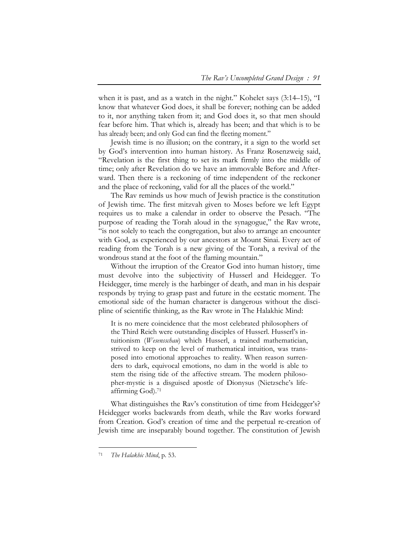when it is past, and as a watch in the night." Kohelet says (3:14–15), "I know that whatever God does, it shall be forever; nothing can be added to it, nor anything taken from it; and God does it, so that men should fear before him. That which is, already has been; and that which is to be has already been; and only God can find the fleeting moment."

Jewish time is no illusion; on the contrary, it a sign to the world set by God's intervention into human history. As Franz Rosenzweig said, "Revelation is the first thing to set its mark firmly into the middle of time; only after Revelation do we have an immovable Before and Afterward. Then there is a reckoning of time independent of the reckoner and the place of reckoning, valid for all the places of the world."

The Rav reminds us how much of Jewish practice is the constitution of Jewish time. The first mitzvah given to Moses before we left Egypt requires us to make a calendar in order to observe the Pesach. "The purpose of reading the Torah aloud in the synagogue," the Rav wrote, "is not solely to teach the congregation, but also to arrange an encounter with God, as experienced by our ancestors at Mount Sinai. Every act of reading from the Torah is a new giving of the Torah, a revival of the wondrous stand at the foot of the flaming mountain."

Without the irruption of the Creator God into human history, time must devolve into the subjectivity of Husserl and Heidegger. To Heidegger, time merely is the harbinger of death, and man in his despair responds by trying to grasp past and future in the ecstatic moment. The emotional side of the human character is dangerous without the discipline of scientific thinking, as the Rav wrote in The Halakhic Mind:

It is no mere coincidence that the most celebrated philosophers of the Third Reich were outstanding disciples of Husserl. Husserl's intuitionism (*Wesensschau*) which Husserl, a trained mathematician, strived to keep on the level of mathematical intuition, was transposed into emotional approaches to reality. When reason surrenders to dark, equivocal emotions, no dam in the world is able to stem the rising tide of the affective stream. The modern philosopher-mystic is a disguised apostle of Dionysus (Nietzsche's lifeaffirming God).71

What distinguishes the Rav's constitution of time from Heidegger's? Heidegger works backwards from death, while the Rav works forward from Creation. God's creation of time and the perpetual re-creation of Jewish time are inseparably bound together. The constitution of Jewish

<sup>71</sup> *The Halakhic Mind*, p. 53.